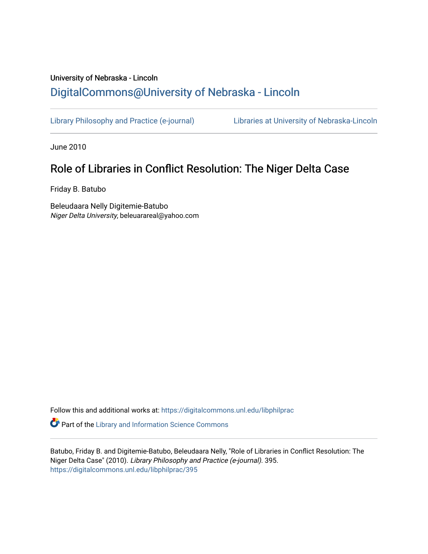# University of Nebraska - Lincoln [DigitalCommons@University of Nebraska - Lincoln](https://digitalcommons.unl.edu/)

[Library Philosophy and Practice \(e-journal\)](https://digitalcommons.unl.edu/libphilprac) [Libraries at University of Nebraska-Lincoln](https://digitalcommons.unl.edu/libraries) 

June 2010

# Role of Libraries in Conflict Resolution: The Niger Delta Case

Friday B. Batubo

Beleudaara Nelly Digitemie-Batubo Niger Delta University, beleuarareal@yahoo.com

Follow this and additional works at: [https://digitalcommons.unl.edu/libphilprac](https://digitalcommons.unl.edu/libphilprac?utm_source=digitalcommons.unl.edu%2Flibphilprac%2F395&utm_medium=PDF&utm_campaign=PDFCoverPages) 

**Part of the Library and Information Science Commons** 

Batubo, Friday B. and Digitemie-Batubo, Beleudaara Nelly, "Role of Libraries in Conflict Resolution: The Niger Delta Case" (2010). Library Philosophy and Practice (e-journal). 395. [https://digitalcommons.unl.edu/libphilprac/395](https://digitalcommons.unl.edu/libphilprac/395?utm_source=digitalcommons.unl.edu%2Flibphilprac%2F395&utm_medium=PDF&utm_campaign=PDFCoverPages)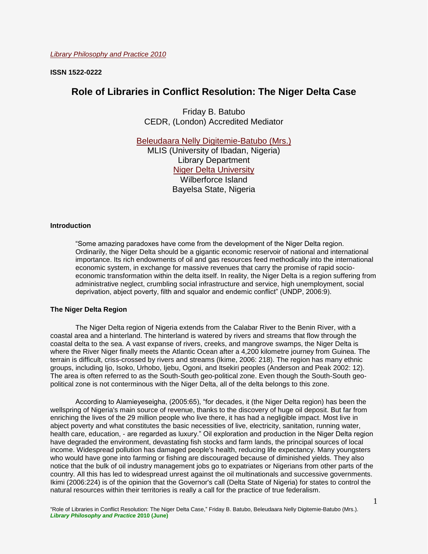**ISSN 1522-0222**

# **Role of Libraries in Conflict Resolution: The Niger Delta Case**

Friday B. Batubo CEDR, (London) Accredited Mediator

[Beleudaara Nelly Digitemie-Batubo \(Mrs.\)](mailto:beleuarareal@yahoo.com) MLIS (University of Ibadan, Nigeria) Library Department [Niger Delta University](http://www.ndu.edu.ng/) Wilberforce Island Bayelsa State, Nigeria

#### **Introduction**

"Some amazing paradoxes have come from the development of the Niger Delta region. Ordinarily, the Niger Delta should be a gigantic economic reservoir of national and international importance. Its rich endowments of oil and gas resources feed methodically into the international economic system, in exchange for massive revenues that carry the promise of rapid socioeconomic transformation within the delta itself. In reality, the Niger Delta is a region suffering from administrative neglect, crumbling social infrastructure and service, high unemployment, social deprivation, abject poverty, filth and squalor and endemic conflict" (UNDP, 2006:9).

#### **The Niger Delta Region**

The Niger Delta region of Nigeria extends from the Calabar River to the Benin River, with a coastal area and a hinterland. The hinterland is watered by rivers and streams that flow through the coastal delta to the sea. A vast expanse of rivers, creeks, and mangrove swamps, the Niger Delta is where the River Niger finally meets the Atlantic Ocean after a 4,200 kilometre journey from Guinea. The terrain is difficult, criss-crossed by rivers and streams (Ikime, 2006: 218). The region has many ethnic groups, including Ijo, Isoko, Urhobo, Ijebu, Ogoni, and Itsekiri peoples (Anderson and Peak 2002: 12). The area is often referred to as the South-South geo-political zone. Even though the South-South geopolitical zone is not conterminous with the Niger Delta, all of the delta belongs to this zone.

According to Alamieyeseigha, (2005:65), "for decades, it (the Niger Delta region) has been the wellspring of Nigeria's main source of revenue, thanks to the discovery of huge oil deposit. But far from enriching the lives of the 29 million people who live there, it has had a negligible impact. Most live in abject poverty and what constitutes the basic necessities of live, electricity, sanitation, running water, health care, education, - are regarded as luxury." Oil exploration and production in the Niger Delta region have degraded the environment, devastating fish stocks and farm lands, the principal sources of local income. Widespread pollution has damaged people's health, reducing life expectancy. Many youngsters who would have gone into farming or fishing are discouraged because of diminished yields. They also notice that the bulk of oil industry management jobs go to expatriates or Nigerians from other parts of the country. All this has led to widespread unrest against the oil multinationals and successive governments. Ikimi (2006:224) is of the opinion that the Governor's call (Delta State of Nigeria) for states to control the natural resources within their territories is really a call for the practice of true federalism.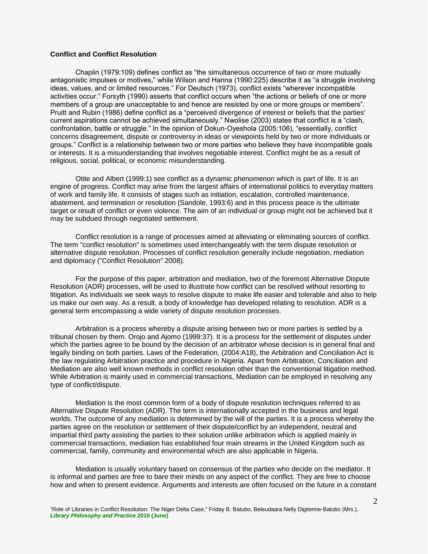# **Conflict and Conflict Resolution**

Chaplin (1979:109) defines conflict as "the simultaneous occurrence of two or more mutually antagonistic impulses or motives," while Wilson and Hanna (1990:225) describe it as "a struggle involving ideas, values, and or limited resources." For Deutsch (1973), conflict exists "wherever incompatible activities occur." Forsyth (1990) asserts that conflict occurs when "the actions or beliefs of one or more members of a group are unacceptable to and hence are resisted by one or more groups or members". Pruitt and Rubin (1986) define conflict as a "perceived divergence of interest or beliefs that the parties' current aspirations cannot be achieved simultaneously." Nwolise (2003) states that conflict is a "clash, confrontation, battle or struggle." In the opinion of Dokun-Oyeshola (2005:106), "essentially, conflict concerns disagreement, dispute or controversy in ideas or viewpoints held by two or more individuals or groups." Conflict is a relationship between two or more parties who believe they have incompatible goals or interests. It is a misunderstanding that involves negotiable interest. Conflict might be as a result of religious, social, political, or economic misunderstanding.

Otite and Albert (1999:1) see conflict as a dynamic phenomenon which is part of life. It is an engine of progress. Conflict may arise from the largest affairs of international politics to everyday matters of work and family life. It consists of stages such as initiation, escalation, controlled maintenance, abatement, and termination or resolution (Sandole, 1993:6) and in this process peace is the ultimate target or result of conflict or even violence. The aim of an individual or group might not be achieved but it may be subdued through negotiated settlement.

Conflict resolution is a range of processes aimed at alleviating or eliminating sources of conflict. The term "conflict resolution" is sometimes used interchangeably with the term dispute resolution or alternative dispute resolution. Processes of conflict resolution generally include negotiation, mediation and diplomacy ("Conflict Resolution" 2008).

For the purpose of this paper, arbitration and mediation, two of the foremost Alternative Dispute Resolution (ADR) processes, will be used to illustrate how conflict can be resolved without resorting to litigation. As individuals we seek ways to resolve dispute to make life easier and tolerable and also to help us make our own way. As a result, a body of knowledge has developed relating to resolution. ADR is a general term encompassing a wide variety of dispute resolution processes.

Arbitration is a process whereby a dispute arising between two or more parties is settled by a tribunal chosen by them. Orojo and Ajomo (1999:37). It is a process for the settlement of disputes under which the parties agree to be bound by the decision of an arbitrator whose decision is in general final and legally binding on both parties. Laws of the Federation, (2004:A18), the Arbitration and Conciliation Act is the law regulating Arbitration practice and procedure in Nigeria. Apart from Arbitration, Conciliation and Mediation are also well known methods in conflict resolution other than the conventional litigation method. While Arbitration is mainly used in commercial transactions, Mediation can be employed in resolving any type of conflict/dispute.

Mediation is the most common form of a body of dispute resolution techniques referred to as Alternative Dispute Resolution (ADR). The term is internationally accepted in the business and legal worlds. The outcome of any mediation is determined by the will of the parties. It is a process whereby the parties agree on the resolution or settlement of their dispute/conflict by an independent, neutral and impartial third party assisting the parties to their solution unlike arbitration which is applied mainly in commercial transactions, mediation has established four main streams in the United Kingdom such as commercial, family, community and environmental which are also applicable in Nigeria.

Mediation is usually voluntary based on consensus of the parties who decide on the mediator. It is informal and parties are free to bare their minds on any aspect of the conflict. They are free to choose how and when to present evidence. Arguments and interests are often focused on the future in a constant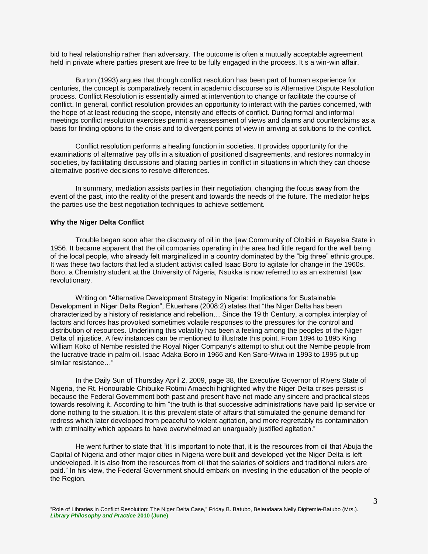bid to heal relationship rather than adversary. The outcome is often a mutually acceptable agreement held in private where parties present are free to be fully engaged in the process. It s a win-win affair.

Burton (1993) argues that though conflict resolution has been part of human experience for centuries, the concept is comparatively recent in academic discourse so is Alternative Dispute Resolution process. Conflict Resolution is essentially aimed at intervention to change or facilitate the course of conflict. In general, conflict resolution provides an opportunity to interact with the parties concerned, with the hope of at least reducing the scope, intensity and effects of conflict. During formal and informal meetings conflict resolution exercises permit a reassessment of views and claims and counterclaims as a basis for finding options to the crisis and to divergent points of view in arriving at solutions to the conflict.

Conflict resolution performs a healing function in societies. It provides opportunity for the examinations of alternative pay offs in a situation of positioned disagreements, and restores normalcy in societies, by facilitating discussions and placing parties in conflict in situations in which they can choose alternative positive decisions to resolve differences.

In summary, mediation assists parties in their negotiation, changing the focus away from the event of the past, into the reality of the present and towards the needs of the future. The mediator helps the parties use the best negotiation techniques to achieve settlement.

#### **Why the Niger Delta Conflict**

Trouble began soon after the discovery of oil in the Ijaw Community of Oloibiri in Bayelsa State in 1956. It became apparent that the oil companies operating in the area had little regard for the well being of the local people, who already felt marginalized in a country dominated by the "big three" ethnic groups. It was these two factors that led a student activist called Isaac Boro to agitate for change in the 1960s. Boro, a Chemistry student at the University of Nigeria, Nsukka is now referred to as an extremist Ijaw revolutionary.

Writing on "Alternative Development Strategy in Nigeria: Implications for Sustainable Development in Niger Delta Region", Ekuerhare (2008:2) states that "the Niger Delta has been characterized by a history of resistance and rebellion… Since the 19 th Century, a complex interplay of factors and forces has provoked sometimes volatile responses to the pressures for the control and distribution of resources. Underlining this volatility has been a feeling among the peoples of the Niger Delta of injustice. A few instances can be mentioned to illustrate this point. From 1894 to 1895 King William Koko of Nembe resisted the Royal Niger Company's attempt to shut out the Nembe people from the lucrative trade in palm oil. Isaac Adaka Boro in 1966 and Ken Saro-Wiwa in 1993 to 1995 put up similar resistance…"

In the Daily Sun of Thursday April 2, 2009, page 38, the Executive Governor of Rivers State of Nigeria, the Rt. Honourable Chibuike Rotimi Amaechi highlighted why the Niger Delta crises persist is because the Federal Government both past and present have not made any sincere and practical steps towards resolving it. According to him "the truth is that successive administrations have paid lip service or done nothing to the situation. It is this prevalent state of affairs that stimulated the genuine demand for redress which later developed from peaceful to violent agitation, and more regrettably its contamination with criminality which appears to have overwhelmed an unarguably justified agitation."

He went further to state that "it is important to note that, it is the resources from oil that Abuja the Capital of Nigeria and other major cities in Nigeria were built and developed yet the Niger Delta is left undeveloped. It is also from the resources from oil that the salaries of soldiers and traditional rulers are paid." In his view, the Federal Government should embark on investing in the education of the people of the Region.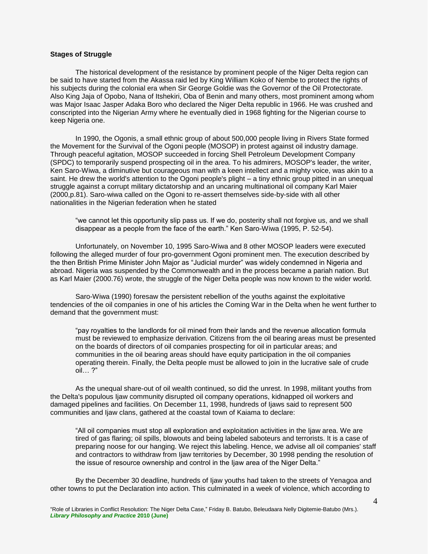### **Stages of Struggle**

The historical development of the resistance by prominent people of the Niger Delta region can be said to have started from the Akassa raid led by King William Koko of Nembe to protect the rights of his subjects during the colonial era when Sir George Goldie was the Governor of the Oil Protectorate. Also King Jaja of Opobo, Nana of Itshekiri, Oba of Benin and many others, most prominent among whom was Major Isaac Jasper Adaka Boro who declared the Niger Delta republic in 1966. He was crushed and conscripted into the Nigerian Army where he eventually died in 1968 fighting for the Nigerian course to keep Nigeria one.

In 1990, the Ogonis, a small ethnic group of about 500,000 people living in Rivers State formed the Movement for the Survival of the Ogoni people (MOSOP) in protest against oil industry damage. Through peaceful agitation, MOSOP succeeded in forcing Shell Petroleum Development Company (SPDC) to temporarily suspend prospecting oil in the area. To his admirers, MOSOP's leader, the writer, Ken Saro-Wiwa, a diminutive but courageous man with a keen intellect and a mighty voice, was akin to a saint. He drew the world's attention to the Ogoni people's plight – a tiny ethnic group pitted in an unequal struggle against a corrupt military dictatorship and an uncaring multinational oil company Karl Maier (2000,p.81). Saro-wiwa called on the Ogoni to re-assert themselves side-by-side with all other nationalities in the Nigerian federation when he stated

"we cannot let this opportunity slip pass us. If we do, posterity shall not forgive us, and we shall disappear as a people from the face of the earth." Ken Saro-Wiwa (1995, P. 52-54).

Unfortunately, on November 10, 1995 Saro-Wiwa and 8 other MOSOP leaders were executed following the alleged murder of four pro-government Ogoni prominent men. The execution described by the then British Prime Minister John Major as "Judicial murder" was widely condemned in Nigeria and abroad. Nigeria was suspended by the Commonwealth and in the process became a pariah nation. But as Karl Maier (2000.76) wrote, the struggle of the Niger Delta people was now known to the wider world.

Saro-Wiwa (1990) foresaw the persistent rebellion of the youths against the exploitative tendencies of the oil companies in one of his articles the Coming War in the Delta when he went further to demand that the government must:

"pay royalties to the landlords for oil mined from their lands and the revenue allocation formula must be reviewed to emphasize derivation. Citizens from the oil bearing areas must be presented on the boards of directors of oil companies prospecting for oil in particular areas; and communities in the oil bearing areas should have equity participation in the oil companies operating therein. Finally, the Delta people must be allowed to join in the lucrative sale of crude oil… ?"

As the unequal share-out of oil wealth continued, so did the unrest. In 1998, militant youths from the Delta's populous Ijaw community disrupted oil company operations, kidnapped oil workers and damaged pipelines and facilities. On December 11, 1998, hundreds of Ijaws said to represent 500 communities and Ijaw clans, gathered at the coastal town of Kaiama to declare:

"All oil companies must stop all exploration and exploitation activities in the Ijaw area. We are tired of gas flaring; oil spills, blowouts and being labeled saboteurs and terrorists. It is a case of preparing noose for our hanging. We reject this labeling. Hence, we advise all oil companies' staff and contractors to withdraw from Ijaw territories by December, 30 1998 pending the resolution of the issue of resource ownership and control in the Ijaw area of the Niger Delta."

By the December 30 deadline, hundreds of Ijaw youths had taken to the streets of Yenagoa and other towns to put the Declaration into action. This culminated in a week of violence, which according to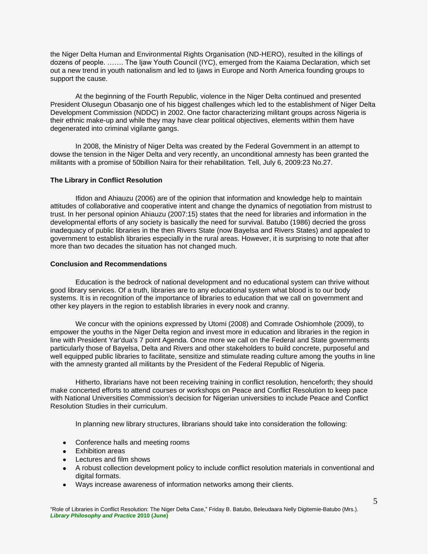the Niger Delta Human and Environmental Rights Organisation (ND-HERO), resulted in the killings of dozens of people. ……. The Ijaw Youth Council (IYC), emerged from the Kaiama Declaration, which set out a new trend in youth nationalism and led to Ijaws in Europe and North America founding groups to support the cause.

At the beginning of the Fourth Republic, violence in the Niger Delta continued and presented President Olusegun Obasanjo one of his biggest challenges which led to the establishment of Niger Delta Development Commission (NDDC) in 2002. One factor characterizing militant groups across Nigeria is their ethnic make-up and while they may have clear political objectives, elements within them have degenerated into criminal vigilante gangs.

In 2008, the Ministry of Niger Delta was created by the Federal Government in an attempt to dowse the tension in the Niger Delta and very recently, an unconditional amnesty has been granted the militants with a promise of 50billion Naira for their rehabilitation. Tell, July 6, 2009:23 No.27.

## **The Library in Conflict Resolution**

Ifidon and Ahiauzu (2006) are of the opinion that information and knowledge help to maintain attitudes of collaborative and cooperative intent and change the dynamics of negotiation from mistrust to trust. In her personal opinion Ahiauzu (2007:15) states that the need for libraries and information in the developmental efforts of any society is basically the need for survival. Batubo (1986) decried the gross inadequacy of public libraries in the then Rivers State (now Bayelsa and Rivers States) and appealed to government to establish libraries especially in the rural areas. However, it is surprising to note that after more than two decades the situation has not changed much.

## **Conclusion and Recommendations**

Education is the bedrock of national development and no educational system can thrive without good library services. Of a truth, libraries are to any educational system what blood is to our body systems. It is in recognition of the importance of libraries to education that we call on government and other key players in the region to establish libraries in every nook and cranny.

We concur with the opinions expressed by Utomi (2008) and Comrade Oshiomhole (2009), to empower the youths in the Niger Delta region and invest more in education and libraries in the region in line with President Yar'dua's 7 point Agenda. Once more we call on the Federal and State governments particularly those of Bayelsa, Delta and Rivers and other stakeholders to build concrete, purposeful and well equipped public libraries to facilitate, sensitize and stimulate reading culture among the youths in line with the amnesty granted all militants by the President of the Federal Republic of Nigeria.

Hitherto, librarians have not been receiving training in conflict resolution, henceforth; they should make concerted efforts to attend courses or workshops on Peace and Conflict Resolution to keep pace with National Universities Commission's decision for Nigerian universities to include Peace and Conflict Resolution Studies in their curriculum.

In planning new library structures, librarians should take into consideration the following:

- Conference halls and meeting rooms
- Exhibition areas
- Lectures and film shows
- A robust collection development policy to include conflict resolution materials in conventional and digital formats.
- Ways increase awareness of information networks among their clients.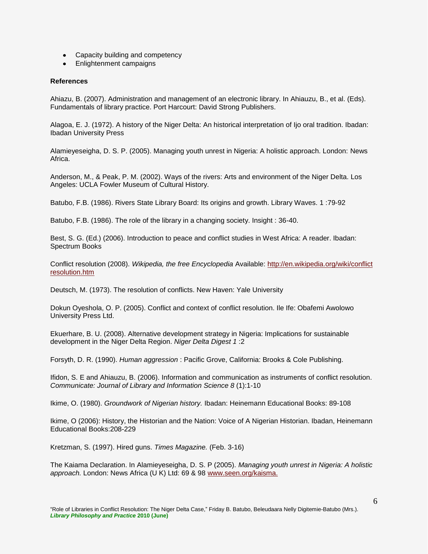- Capacity building and competency
- Enlightenment campaigns

# **References**

Ahiazu, B. (2007). Administration and management of an electronic library. In Ahiauzu, B., et al. (Eds). Fundamentals of library practice. Port Harcourt: David Strong Publishers.

Alagoa, E. J. (1972). A history of the Niger Delta: An historical interpretation of Ijo oral tradition. Ibadan: Ibadan University Press

Alamieyeseigha, D. S. P. (2005). Managing youth unrest in Nigeria: A holistic approach. London: News Africa.

Anderson, M., & Peak, P. M. (2002). Ways of the rivers: Arts and environment of the Niger Delta. Los Angeles: UCLA Fowler Museum of Cultural History.

Batubo, F.B. (1986). Rivers State Library Board: Its origins and growth. Library Waves. 1 :79-92

Batubo, F.B. (1986). The role of the library in a changing society. Insight : 36-40.

Best, S. G. (Ed.) (2006). Introduction to peace and conflict studies in West Africa: A reader. Ibadan: Spectrum Books

Conflict resolution (2008). *Wikipedia, the free Encyclopedia* Available: [http://en.wikipedia.org/wiki/conflict](http://en.wikipedia.org/wiki/conflict%20resolution.htm)  [resolution.htm](http://en.wikipedia.org/wiki/conflict%20resolution.htm) 

Deutsch, M. (1973). The resolution of conflicts. New Haven: Yale University

Dokun Oyeshola, O. P. (2005). Conflict and context of conflict resolution. Ile Ife: Obafemi Awolowo University Press Ltd.

Ekuerhare, B. U. (2008). Alternative development strategy in Nigeria: Implications for sustainable development in the Niger Delta Region. *Niger Delta Digest 1* :2

Forsyth, D. R. (1990). *Human aggression* : Pacific Grove, California: Brooks & Cole Publishing.

Ifidon, S. E and Ahiauzu, B. (2006). Information and communication as instruments of conflict resolution. *Communicate: Journal of Library and Information Science 8* (1):1-10

Ikime, O. (1980). *Groundwork of Nigerian history.* Ibadan: Heinemann Educational Books: 89-108

Ikime, O (2006): History, the Historian and the Nation: Voice of A Nigerian Historian. Ibadan, Heinemann Educational Books:208-229

Kretzman, S. (1997). Hired guns. *Times Magazine.* (Feb. 3-16)

The Kaiama Declaration. In Alamieyeseigha, D. S. P (2005). *Managing youth unrest in Nigeria: A holistic approach.* London: News Africa (U K) Ltd: 69 & 98 [www.seen.org/kaisma.](http://www.seen.org/kaisma)